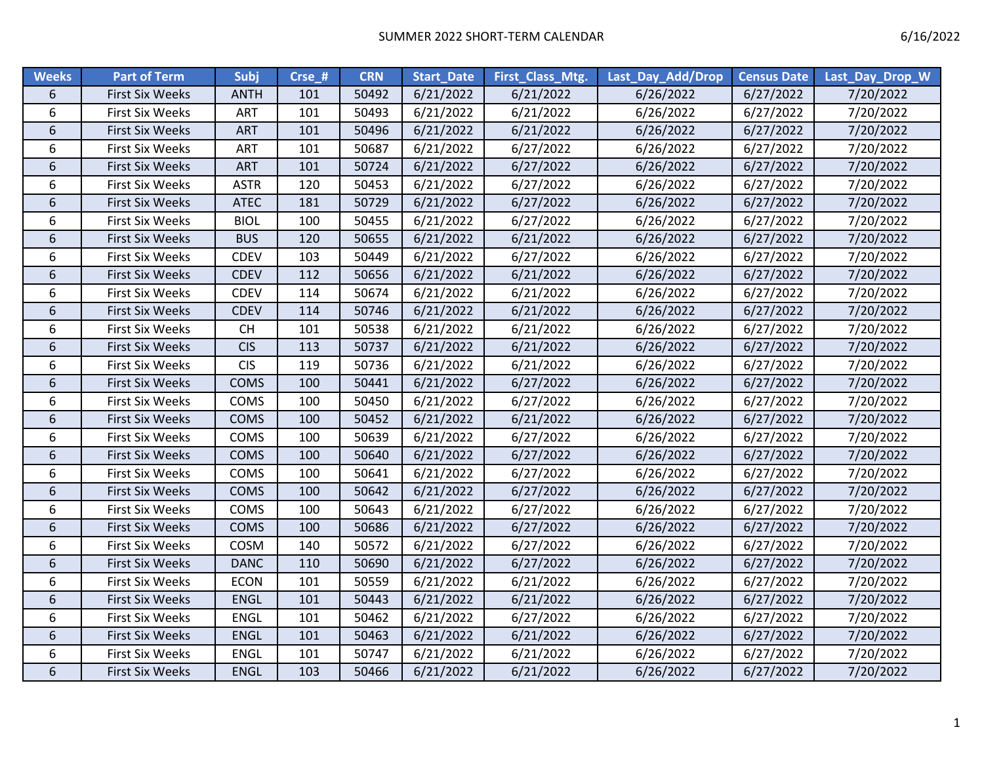| <b>Weeks</b>   | <b>Part of Term</b>    | <b>Subj</b> | Crse_# | <b>CRN</b> | <b>Start Date</b> | First_Class_Mtg. | Last Day Add/Drop | <b>Census Date</b> | Last_Day_Drop_W |
|----------------|------------------------|-------------|--------|------------|-------------------|------------------|-------------------|--------------------|-----------------|
| 6              | <b>First Six Weeks</b> | <b>ANTH</b> | 101    | 50492      | 6/21/2022         | 6/21/2022        | 6/26/2022         | 6/27/2022          | 7/20/2022       |
| 6              | <b>First Six Weeks</b> | <b>ART</b>  | 101    | 50493      | 6/21/2022         | 6/21/2022        | 6/26/2022         | 6/27/2022          | 7/20/2022       |
| 6              | <b>First Six Weeks</b> | ART         | 101    | 50496      | 6/21/2022         | 6/21/2022        | 6/26/2022         | 6/27/2022          | 7/20/2022       |
| 6              | <b>First Six Weeks</b> | <b>ART</b>  | 101    | 50687      | 6/21/2022         | 6/27/2022        | 6/26/2022         | 6/27/2022          | 7/20/2022       |
| 6              | <b>First Six Weeks</b> | ART         | 101    | 50724      | 6/21/2022         | 6/27/2022        | 6/26/2022         | 6/27/2022          | 7/20/2022       |
| 6              | <b>First Six Weeks</b> | <b>ASTR</b> | 120    | 50453      | 6/21/2022         | 6/27/2022        | 6/26/2022         | 6/27/2022          | 7/20/2022       |
| 6              | <b>First Six Weeks</b> | <b>ATEC</b> | 181    | 50729      | 6/21/2022         | 6/27/2022        | 6/26/2022         | 6/27/2022          | 7/20/2022       |
| 6              | <b>First Six Weeks</b> | <b>BIOL</b> | 100    | 50455      | 6/21/2022         | 6/27/2022        | 6/26/2022         | 6/27/2022          | 7/20/2022       |
| 6              | <b>First Six Weeks</b> | <b>BUS</b>  | 120    | 50655      | 6/21/2022         | 6/21/2022        | 6/26/2022         | 6/27/2022          | 7/20/2022       |
| 6              | <b>First Six Weeks</b> | <b>CDEV</b> | 103    | 50449      | 6/21/2022         | 6/27/2022        | 6/26/2022         | 6/27/2022          | 7/20/2022       |
| $6\phantom{.}$ | <b>First Six Weeks</b> | <b>CDEV</b> | 112    | 50656      | 6/21/2022         | 6/21/2022        | 6/26/2022         | 6/27/2022          | 7/20/2022       |
| 6              | <b>First Six Weeks</b> | <b>CDEV</b> | 114    | 50674      | 6/21/2022         | 6/21/2022        | 6/26/2022         | 6/27/2022          | 7/20/2022       |
| 6              | <b>First Six Weeks</b> | <b>CDEV</b> | 114    | 50746      | 6/21/2022         | 6/21/2022        | 6/26/2022         | 6/27/2022          | 7/20/2022       |
| 6              | First Six Weeks        | <b>CH</b>   | 101    | 50538      | 6/21/2022         | 6/21/2022        | 6/26/2022         | 6/27/2022          | 7/20/2022       |
| 6              | <b>First Six Weeks</b> | <b>CIS</b>  | 113    | 50737      | 6/21/2022         | 6/21/2022        | 6/26/2022         | 6/27/2022          | 7/20/2022       |
| 6              | First Six Weeks        | <b>CIS</b>  | 119    | 50736      | 6/21/2022         | 6/21/2022        | 6/26/2022         | 6/27/2022          | 7/20/2022       |
| 6              | <b>First Six Weeks</b> | <b>COMS</b> | 100    | 50441      | 6/21/2022         | 6/27/2022        | 6/26/2022         | 6/27/2022          | 7/20/2022       |
| 6              | First Six Weeks        | COMS        | 100    | 50450      | 6/21/2022         | 6/27/2022        | 6/26/2022         | 6/27/2022          | 7/20/2022       |
| 6              | <b>First Six Weeks</b> | <b>COMS</b> | 100    | 50452      | 6/21/2022         | 6/21/2022        | 6/26/2022         | 6/27/2022          | 7/20/2022       |
| 6              | <b>First Six Weeks</b> | COMS        | 100    | 50639      | 6/21/2022         | 6/27/2022        | 6/26/2022         | 6/27/2022          | 7/20/2022       |
| 6              | <b>First Six Weeks</b> | COMS        | 100    | 50640      | 6/21/2022         | 6/27/2022        | 6/26/2022         | 6/27/2022          | 7/20/2022       |
| 6              | First Six Weeks        | COMS        | 100    | 50641      | 6/21/2022         | 6/27/2022        | 6/26/2022         | 6/27/2022          | 7/20/2022       |
| 6              | <b>First Six Weeks</b> | COMS        | 100    | 50642      | 6/21/2022         | 6/27/2022        | 6/26/2022         | 6/27/2022          | 7/20/2022       |
| 6              | <b>First Six Weeks</b> | COMS        | 100    | 50643      | 6/21/2022         | 6/27/2022        | 6/26/2022         | 6/27/2022          | 7/20/2022       |
| 6              | <b>First Six Weeks</b> | <b>COMS</b> | 100    | 50686      | 6/21/2022         | 6/27/2022        | 6/26/2022         | 6/27/2022          | 7/20/2022       |
| 6              | First Six Weeks        | COSM        | 140    | 50572      | 6/21/2022         | 6/27/2022        | 6/26/2022         | 6/27/2022          | 7/20/2022       |
| 6              | <b>First Six Weeks</b> | <b>DANC</b> | 110    | 50690      | 6/21/2022         | 6/27/2022        | 6/26/2022         | 6/27/2022          | 7/20/2022       |
| 6              | <b>First Six Weeks</b> | <b>ECON</b> | 101    | 50559      | 6/21/2022         | 6/21/2022        | 6/26/2022         | 6/27/2022          | 7/20/2022       |
| 6              | <b>First Six Weeks</b> | <b>ENGL</b> | 101    | 50443      | 6/21/2022         | 6/21/2022        | 6/26/2022         | 6/27/2022          | 7/20/2022       |
| 6              | <b>First Six Weeks</b> | ENGL        | 101    | 50462      | 6/21/2022         | 6/27/2022        | 6/26/2022         | 6/27/2022          | 7/20/2022       |
| $6\phantom{.}$ | <b>First Six Weeks</b> | ENGL        | 101    | 50463      | 6/21/2022         | 6/21/2022        | 6/26/2022         | 6/27/2022          | 7/20/2022       |
| 6              | <b>First Six Weeks</b> | <b>ENGL</b> | 101    | 50747      | 6/21/2022         | 6/21/2022        | 6/26/2022         | 6/27/2022          | 7/20/2022       |
| 6              | <b>First Six Weeks</b> | <b>ENGL</b> | 103    | 50466      | 6/21/2022         | 6/21/2022        | 6/26/2022         | 6/27/2022          | 7/20/2022       |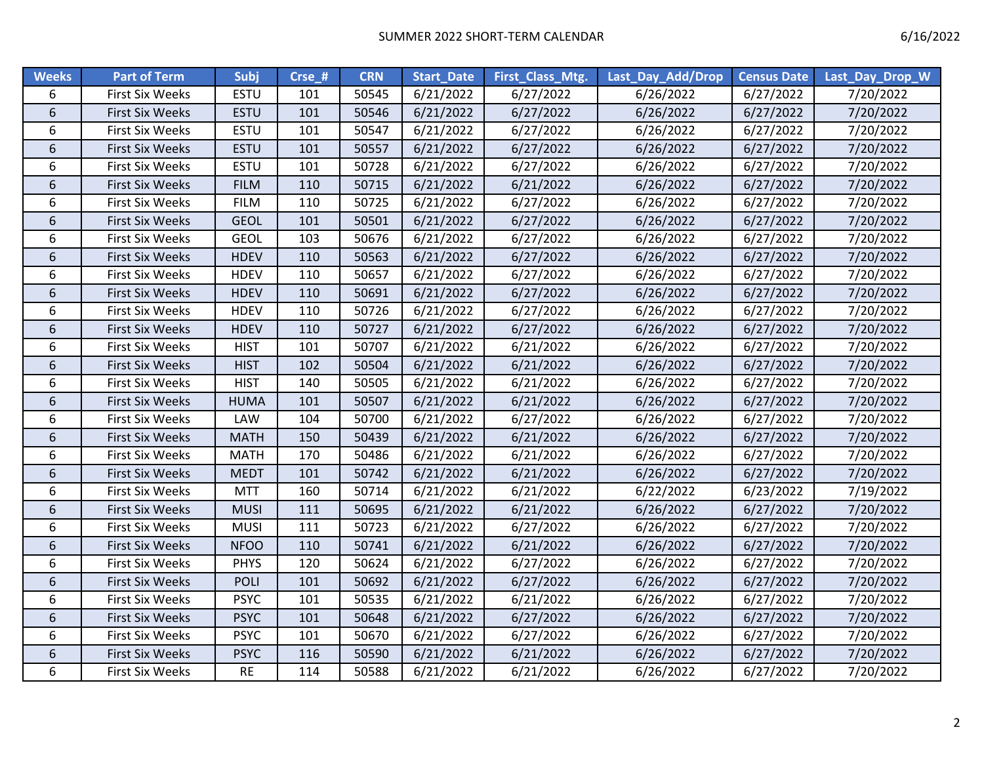| <b>Weeks</b>    | <b>Part of Term</b>    | Subj        | Crse_# | <b>CRN</b> | <b>Start Date</b> | First_Class_Mtg. | Last_Day_Add/Drop | <b>Census Date</b> | Last_Day_Drop_W |
|-----------------|------------------------|-------------|--------|------------|-------------------|------------------|-------------------|--------------------|-----------------|
| 6               | First Six Weeks        | ESTU        | 101    | 50545      | 6/21/2022         | 6/27/2022        | 6/26/2022         | 6/27/2022          | 7/20/2022       |
| $\sqrt{6}$      | <b>First Six Weeks</b> | <b>ESTU</b> | 101    | 50546      | 6/21/2022         | 6/27/2022        | 6/26/2022         | 6/27/2022          | 7/20/2022       |
| 6               | <b>First Six Weeks</b> | ESTU        | 101    | 50547      | 6/21/2022         | 6/27/2022        | 6/26/2022         | 6/27/2022          | 7/20/2022       |
| 6               | <b>First Six Weeks</b> | <b>ESTU</b> | 101    | 50557      | 6/21/2022         | 6/27/2022        | 6/26/2022         | 6/27/2022          | 7/20/2022       |
| 6               | <b>First Six Weeks</b> | ESTU        | 101    | 50728      | 6/21/2022         | 6/27/2022        | 6/26/2022         | 6/27/2022          | 7/20/2022       |
| $6\overline{6}$ | <b>First Six Weeks</b> | <b>FILM</b> | 110    | 50715      | 6/21/2022         | 6/21/2022        | 6/26/2022         | 6/27/2022          | 7/20/2022       |
| 6               | First Six Weeks        | <b>FILM</b> | 110    | 50725      | 6/21/2022         | 6/27/2022        | 6/26/2022         | 6/27/2022          | 7/20/2022       |
| 6               | <b>First Six Weeks</b> | <b>GEOL</b> | 101    | 50501      | 6/21/2022         | 6/27/2022        | 6/26/2022         | 6/27/2022          | 7/20/2022       |
| 6               | <b>First Six Weeks</b> | <b>GEOL</b> | 103    | 50676      | 6/21/2022         | 6/27/2022        | 6/26/2022         | 6/27/2022          | 7/20/2022       |
| $6\phantom{a}$  | <b>First Six Weeks</b> | <b>HDEV</b> | 110    | 50563      | 6/21/2022         | 6/27/2022        | 6/26/2022         | 6/27/2022          | 7/20/2022       |
| 6               | First Six Weeks        | <b>HDEV</b> | 110    | 50657      | 6/21/2022         | 6/27/2022        | 6/26/2022         | 6/27/2022          | 7/20/2022       |
| $\sqrt{6}$      | <b>First Six Weeks</b> | <b>HDEV</b> | 110    | 50691      | 6/21/2022         | 6/27/2022        | 6/26/2022         | 6/27/2022          | 7/20/2022       |
| 6               | First Six Weeks        | <b>HDEV</b> | 110    | 50726      | 6/21/2022         | 6/27/2022        | 6/26/2022         | 6/27/2022          | 7/20/2022       |
| 6               | <b>First Six Weeks</b> | <b>HDEV</b> | 110    | 50727      | 6/21/2022         | 6/27/2022        | 6/26/2022         | 6/27/2022          | 7/20/2022       |
| 6               | <b>First Six Weeks</b> | <b>HIST</b> | 101    | 50707      | 6/21/2022         | 6/21/2022        | 6/26/2022         | 6/27/2022          | 7/20/2022       |
| $6\overline{6}$ | First Six Weeks        | <b>HIST</b> | 102    | 50504      | 6/21/2022         | 6/21/2022        | 6/26/2022         | 6/27/2022          | 7/20/2022       |
| 6               | <b>First Six Weeks</b> | <b>HIST</b> | 140    | 50505      | 6/21/2022         | 6/21/2022        | 6/26/2022         | 6/27/2022          | 7/20/2022       |
| 6               | <b>First Six Weeks</b> | <b>HUMA</b> | 101    | 50507      | 6/21/2022         | 6/21/2022        | 6/26/2022         | 6/27/2022          | 7/20/2022       |
| 6               | <b>First Six Weeks</b> | LAW         | 104    | 50700      | 6/21/2022         | 6/27/2022        | 6/26/2022         | 6/27/2022          | 7/20/2022       |
| 6               | <b>First Six Weeks</b> | <b>MATH</b> | 150    | 50439      | 6/21/2022         | 6/21/2022        | 6/26/2022         | 6/27/2022          | 7/20/2022       |
| 6               | First Six Weeks        | <b>MATH</b> | 170    | 50486      | 6/21/2022         | 6/21/2022        | 6/26/2022         | 6/27/2022          | 7/20/2022       |
| $\sqrt{6}$      | <b>First Six Weeks</b> | <b>MEDT</b> | 101    | 50742      | 6/21/2022         | 6/21/2022        | 6/26/2022         | 6/27/2022          | 7/20/2022       |
| 6               | <b>First Six Weeks</b> | <b>MTT</b>  | 160    | 50714      | 6/21/2022         | 6/21/2022        | 6/22/2022         | 6/23/2022          | 7/19/2022       |
| 6               | <b>First Six Weeks</b> | <b>MUSI</b> | 111    | 50695      | 6/21/2022         | 6/21/2022        | 6/26/2022         | 6/27/2022          | 7/20/2022       |
| 6               | <b>First Six Weeks</b> | <b>MUSI</b> | 111    | 50723      | 6/21/2022         | 6/27/2022        | 6/26/2022         | 6/27/2022          | 7/20/2022       |
| $6\overline{6}$ | <b>First Six Weeks</b> | <b>NFOO</b> | 110    | 50741      | 6/21/2022         | 6/21/2022        | 6/26/2022         | 6/27/2022          | 7/20/2022       |
| 6               | <b>First Six Weeks</b> | <b>PHYS</b> | 120    | 50624      | 6/21/2022         | 6/27/2022        | 6/26/2022         | 6/27/2022          | 7/20/2022       |
| 6               | <b>First Six Weeks</b> | <b>POLI</b> | 101    | 50692      | 6/21/2022         | 6/27/2022        | 6/26/2022         | 6/27/2022          | 7/20/2022       |
| 6               | <b>First Six Weeks</b> | <b>PSYC</b> | 101    | 50535      | 6/21/2022         | 6/21/2022        | 6/26/2022         | 6/27/2022          | 7/20/2022       |
| 6               | <b>First Six Weeks</b> | <b>PSYC</b> | 101    | 50648      | 6/21/2022         | 6/27/2022        | 6/26/2022         | 6/27/2022          | 7/20/2022       |
| 6               | First Six Weeks        | <b>PSYC</b> | 101    | 50670      | 6/21/2022         | 6/27/2022        | 6/26/2022         | 6/27/2022          | 7/20/2022       |
| $\sqrt{6}$      | <b>First Six Weeks</b> | <b>PSYC</b> | 116    | 50590      | 6/21/2022         | 6/21/2022        | 6/26/2022         | 6/27/2022          | 7/20/2022       |
| 6               | <b>First Six Weeks</b> | <b>RE</b>   | 114    | 50588      | 6/21/2022         | 6/21/2022        | 6/26/2022         | 6/27/2022          | 7/20/2022       |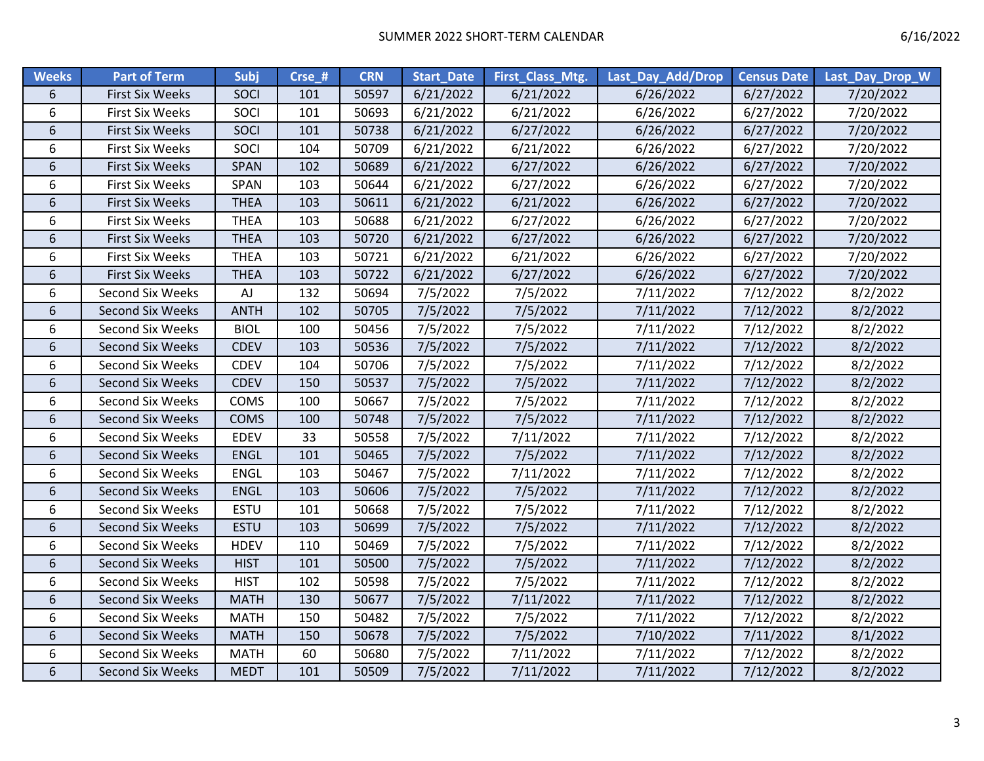| <b>Weeks</b>     | <b>Part of Term</b>     | Subj        | Crse_# | <b>CRN</b> | <b>Start Date</b> | First_Class_Mtg. | Last_Day_Add/Drop | <b>Census Date</b> | Last_Day_Drop_W |
|------------------|-------------------------|-------------|--------|------------|-------------------|------------------|-------------------|--------------------|-----------------|
| 6                | <b>First Six Weeks</b>  | <b>SOCI</b> | 101    | 50597      | 6/21/2022         | 6/21/2022        | 6/26/2022         | 6/27/2022          | 7/20/2022       |
| 6                | <b>First Six Weeks</b>  | SOCI        | 101    | 50693      | 6/21/2022         | 6/21/2022        | 6/26/2022         | 6/27/2022          | 7/20/2022       |
| 6                | <b>First Six Weeks</b>  | SOCI        | 101    | 50738      | 6/21/2022         | 6/27/2022        | 6/26/2022         | 6/27/2022          | 7/20/2022       |
| 6                | <b>First Six Weeks</b>  | SOCI        | 104    | 50709      | 6/21/2022         | 6/21/2022        | 6/26/2022         | 6/27/2022          | 7/20/2022       |
| 6                | <b>First Six Weeks</b>  | SPAN        | 102    | 50689      | 6/21/2022         | 6/27/2022        | 6/26/2022         | 6/27/2022          | 7/20/2022       |
| 6                | <b>First Six Weeks</b>  | SPAN        | 103    | 50644      | 6/21/2022         | 6/27/2022        | 6/26/2022         | 6/27/2022          | 7/20/2022       |
| 6                | <b>First Six Weeks</b>  | <b>THEA</b> | 103    | 50611      | 6/21/2022         | 6/21/2022        | 6/26/2022         | 6/27/2022          | 7/20/2022       |
| 6                | <b>First Six Weeks</b>  | <b>THEA</b> | 103    | 50688      | 6/21/2022         | 6/27/2022        | 6/26/2022         | 6/27/2022          | 7/20/2022       |
| 6                | <b>First Six Weeks</b>  | <b>THEA</b> | 103    | 50720      | 6/21/2022         | 6/27/2022        | 6/26/2022         | 6/27/2022          | 7/20/2022       |
| 6                | <b>First Six Weeks</b>  | <b>THEA</b> | 103    | 50721      | 6/21/2022         | 6/21/2022        | 6/26/2022         | 6/27/2022          | 7/20/2022       |
| $6\,$            | <b>First Six Weeks</b>  | <b>THEA</b> | 103    | 50722      | 6/21/2022         | 6/27/2022        | 6/26/2022         | 6/27/2022          | 7/20/2022       |
| 6                | <b>Second Six Weeks</b> | AJ          | 132    | 50694      | 7/5/2022          | 7/5/2022         | 7/11/2022         | 7/12/2022          | 8/2/2022        |
| 6                | <b>Second Six Weeks</b> | <b>ANTH</b> | 102    | 50705      | 7/5/2022          | 7/5/2022         | 7/11/2022         | 7/12/2022          | 8/2/2022        |
| 6                | Second Six Weeks        | <b>BIOL</b> | 100    | 50456      | 7/5/2022          | 7/5/2022         | 7/11/2022         | 7/12/2022          | 8/2/2022        |
| 6                | Second Six Weeks        | <b>CDEV</b> | 103    | 50536      | 7/5/2022          | 7/5/2022         | 7/11/2022         | 7/12/2022          | 8/2/2022        |
| 6                | Second Six Weeks        | CDEV        | 104    | 50706      | 7/5/2022          | 7/5/2022         | 7/11/2022         | 7/12/2022          | 8/2/2022        |
| 6                | <b>Second Six Weeks</b> | <b>CDEV</b> | 150    | 50537      | 7/5/2022          | 7/5/2022         | 7/11/2022         | 7/12/2022          | 8/2/2022        |
| 6                | Second Six Weeks        | COMS        | 100    | 50667      | 7/5/2022          | 7/5/2022         | 7/11/2022         | 7/12/2022          | 8/2/2022        |
| 6                | <b>Second Six Weeks</b> | <b>COMS</b> | 100    | 50748      | 7/5/2022          | 7/5/2022         | 7/11/2022         | 7/12/2022          | 8/2/2022        |
| 6                | <b>Second Six Weeks</b> | <b>EDEV</b> | 33     | 50558      | 7/5/2022          | 7/11/2022        | 7/11/2022         | 7/12/2022          | 8/2/2022        |
| $\boldsymbol{6}$ | <b>Second Six Weeks</b> | ENGL        | 101    | 50465      | 7/5/2022          | 7/5/2022         | 7/11/2022         | 7/12/2022          | 8/2/2022        |
| 6                | Second Six Weeks        | ENGL        | 103    | 50467      | 7/5/2022          | 7/11/2022        | 7/11/2022         | 7/12/2022          | 8/2/2022        |
| 6                | <b>Second Six Weeks</b> | <b>ENGL</b> | 103    | 50606      | 7/5/2022          | 7/5/2022         | 7/11/2022         | 7/12/2022          | 8/2/2022        |
| 6                | Second Six Weeks        | <b>ESTU</b> | 101    | 50668      | 7/5/2022          | 7/5/2022         | 7/11/2022         | 7/12/2022          | 8/2/2022        |
| 6                | <b>Second Six Weeks</b> | <b>ESTU</b> | 103    | 50699      | 7/5/2022          | 7/5/2022         | 7/11/2022         | 7/12/2022          | 8/2/2022        |
| 6                | Second Six Weeks        | <b>HDEV</b> | 110    | 50469      | 7/5/2022          | 7/5/2022         | 7/11/2022         | 7/12/2022          | 8/2/2022        |
| 6                | <b>Second Six Weeks</b> | <b>HIST</b> | 101    | 50500      | 7/5/2022          | 7/5/2022         | 7/11/2022         | 7/12/2022          | 8/2/2022        |
| 6                | Second Six Weeks        | <b>HIST</b> | 102    | 50598      | 7/5/2022          | 7/5/2022         | 7/11/2022         | 7/12/2022          | 8/2/2022        |
| 6                | <b>Second Six Weeks</b> | <b>MATH</b> | 130    | 50677      | 7/5/2022          | 7/11/2022        | 7/11/2022         | 7/12/2022          | 8/2/2022        |
| 6                | Second Six Weeks        | <b>MATH</b> | 150    | 50482      | 7/5/2022          | 7/5/2022         | 7/11/2022         | 7/12/2022          | 8/2/2022        |
| $6\,$            | <b>Second Six Weeks</b> | <b>MATH</b> | 150    | 50678      | 7/5/2022          | 7/5/2022         | 7/10/2022         | 7/11/2022          | 8/1/2022        |
| 6                | Second Six Weeks        | <b>MATH</b> | 60     | 50680      | 7/5/2022          | 7/11/2022        | 7/11/2022         | 7/12/2022          | 8/2/2022        |
| 6                | <b>Second Six Weeks</b> | <b>MEDT</b> | 101    | 50509      | 7/5/2022          | 7/11/2022        | 7/11/2022         | 7/12/2022          | 8/2/2022        |